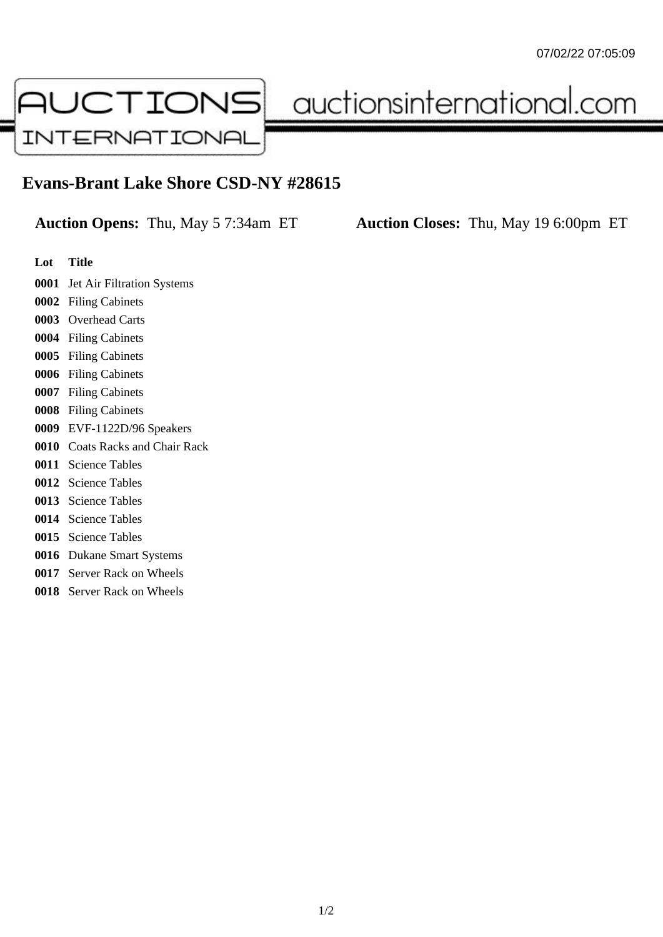

auctionsinternational.com

## **Evans-Brant Lake Shore CSD-NY #28615**

**Auction Opens:** Thu, May 5 7:34am ET **Auction Closes:** Thu, May 19 6:00pm ET

- **Lot Title**
- Jet Air Filtration Systems
- Filing Cabinets
- Overhead Carts
- Filing Cabinets
- Filing Cabinets
- Filing Cabinets
- Filing Cabinets
- Filing Cabinets
- EVF-1122D/96 Speakers
- Coats Racks and Chair Rack
- Science Tables
- Science Tables
- Science Tables
- Science Tables
- Science Tables
- Dukane Smart Systems
- Server Rack on Wheels
- Server Rack on Wheels